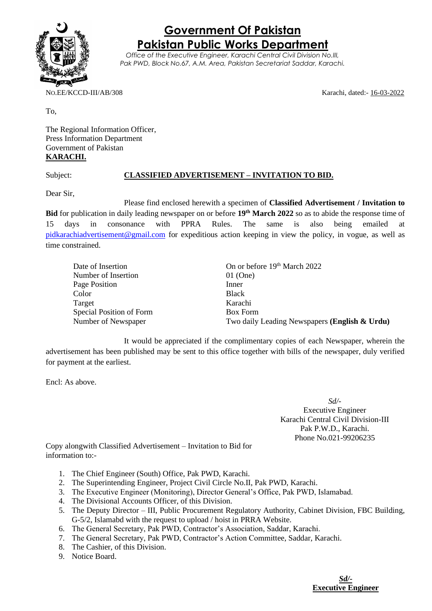

## **Government Of Pakistan Pakistan Public Works Department**

*Office of the Executive Engineer, Karachi Central Civil Division No.III, Pak PWD, Block No.67, A.M. Area, Pakistan Secretariat Saddar, Karachi.*

NO.EE/KCCD-III/AB/308 Karachi, dated:- 16-03-2022

To,

The Regional Information Officer, Press Information Department Government of Pakistan **KARACHI.**

## Subject: **CLASSIFIED ADVERTISEMENT – INVITATION TO BID.**

Dear Sir,

Please find enclosed herewith a specimen of **Classified Advertisement / Invitation to Bid** for publication in daily leading newspaper on or before **19th March 2022** so as to abide the response time of 15 days in consonance with PPRA Rules. The same is also being emailed at [pidkarachiadvertisement@gmail.com](mailto:pidkarachiadvertisement@gmail.com) for expeditious action keeping in view the policy, in vogue, as well as time constrained.

| Date of Insertion        | On or before 19th March 2022                  |
|--------------------------|-----------------------------------------------|
| Number of Insertion      | $01$ (One)                                    |
| Page Position            | Inner                                         |
| Color                    | <b>Black</b>                                  |
| Target                   | Karachi                                       |
| Special Position of Form | <b>Box Form</b>                               |
| Number of Newspaper      | Two daily Leading Newspapers (English & Urdu) |

It would be appreciated if the complimentary copies of each Newspaper, wherein the advertisement has been published may be sent to this office together with bills of the newspaper, duly verified for payment at the earliest.

Encl: As above.

*Sd/-* Executive Engineer Karachi Central Civil Division-III Pak P.W.D., Karachi. Phone No.021-99206235

Copy alongwith Classified Advertisement – Invitation to Bid for information to:-

- 1. The Chief Engineer (South) Office, Pak PWD, Karachi.
- 2. The Superintending Engineer, Project Civil Circle No.II, Pak PWD, Karachi.
- 3. The Executive Engineer (Monitoring), Director General's Office, Pak PWD, Islamabad.
- 4. The Divisional Accounts Officer, of this Division.
- 5. The Deputy Director III, Public Procurement Regulatory Authority, Cabinet Division, FBC Building, G-5/2, Islamabd with the request to upload / hoist in PRRA Website.
- 6. The General Secretary, Pak PWD, Contractor's Association, Saddar, Karachi.
- 7. The General Secretary, Pak PWD, Contractor's Action Committee, Saddar, Karachi.
- 8. The Cashier, of this Division.
- 9. Notice Board.

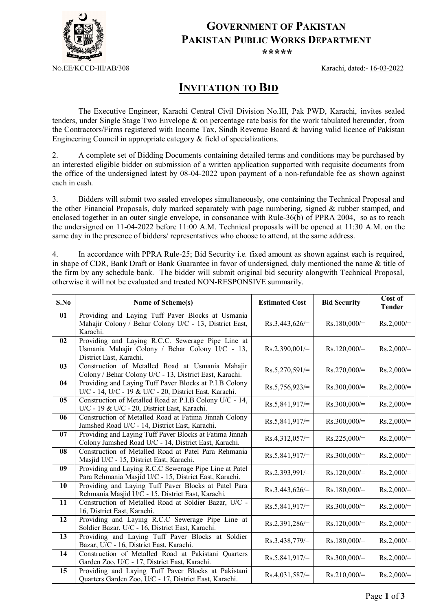

## **GOVERNMENT OF PAKISTAN PAKISTAN PUBLIC WORKS DEPARTMENT**

*\*\*\*\*\**

NO.EE/KCCD-III/AB/308 Karachi, dated:- 16-03-2022

## **INVITATION TO BID**

The Executive Engineer, Karachi Central Civil Division No.III, Pak PWD, Karachi, invites sealed tenders, under Single Stage Two Envelope & on percentage rate basis for the work tabulated hereunder, from the Contractors/Firms registered with Income Tax, Sindh Revenue Board & having valid licence of Pakistan Engineering Council in appropriate category & field of specializations.

2. A complete set of Bidding Documents containing detailed terms and conditions may be purchased by an interested eligible bidder on submission of a written application supported with requisite documents from the office of the undersigned latest by 08-04-2022 upon payment of a non-refundable fee as shown against each in cash.

3. Bidders will submit two sealed envelopes simultaneously, one containing the Technical Proposal and the other Financial Proposals, duly marked separately with page numbering, signed & rubber stamped, and enclosed together in an outer single envelope, in consonance with Rule-36(b) of PPRA 2004, so as to reach the undersigned on 11-04-2022 before 11:00 A.M. Technical proposals will be opened at 11:30 A.M. on the same day in the presence of bidders/ representatives who choose to attend, at the same address.

4. In accordance with PPRA Rule-25; Bid Security i.e. fixed amount as shown against each is required, in shape of CDR, Bank Draft or Bank Guarantee in favor of undersigned, duly mentioned the name & title of the firm by any schedule bank. The bidder will submit original bid security alongwith Technical Proposal, otherwise it will not be evaluated and treated NON-RESPONSIVE summarily.

| S.No | Name of Scheme(s)                                                                                                               | <b>Estimated Cost</b> | <b>Bid Security</b> | Cost of<br><b>Tender</b> |
|------|---------------------------------------------------------------------------------------------------------------------------------|-----------------------|---------------------|--------------------------|
| 01   | Providing and Laying Tuff Paver Blocks at Usmania<br>Mahajir Colony / Behar Colony U/C - 13, District East,<br>Karachi.         | $Rs.3,443,626/=$      | $Rs.180,000/=$      | $Rs.2,000/=$             |
| 02   | Providing and Laying R.C.C. Sewerage Pipe Line at<br>Usmania Mahajir Colony / Behar Colony U/C - 13,<br>District East, Karachi. | $Rs.2,390,001/=$      | $Rs.120,000/=$      | $Rs.2,000/=$             |
| 03   | Construction of Metalled Road at Usmania Mahajir<br>Colony / Behar Colony U/C - 13, District East, Karachi.                     | $Rs.5,270,591/=$      | $Rs.270,000/=$      | $Rs.2,000/=$             |
| 04   | Providing and Laying Tuff Paver Blocks at P.I.B Colony<br>U/C - 14, U/C - 19 & U/C - 20, District East, Karachi.                | $Rs.5,756,923/=$      | $Rs.300,000/=$      | $Rs.2,000/=$             |
| 05   | Construction of Metalled Road at P.I.B Colony U/C - 14,<br>U/C - 19 & U/C - 20, District East, Karachi.                         | $Rs.5,841,917/=$      | $Rs.300,000/=$      | $Rs.2,000/=$             |
| 06   | Construction of Metalled Road at Fatima Jinnah Colony<br>Jamshed Road U/C - 14, District East, Karachi.                         | $Rs.5,841,917/=$      | $Rs.300,000/=$      | $Rs.2,000/=$             |
| 07   | Providing and Laying Tuff Paver Blocks at Fatima Jinnah<br>Colony Jamshed Road U/C - 14, District East, Karachi.                | $Rs.4,312,057/=$      | $Rs.225,000/=$      | $Rs.2,000/=$             |
| 08   | Construction of Metalled Road at Patel Para Rehmania<br>Masjid U/C - 15, District East, Karachi.                                | $Rs.5,841,917/=$      | $Rs.300,000/=$      | $Rs.2,000/=$             |
| 09   | Providing and Laying R.C.C Sewerage Pipe Line at Patel<br>Para Rehmania Masjid U/C - 15, District East, Karachi.                | $Rs.2,393,991/=$      | $Rs.120,000/=$      | $Rs.2,000/=$             |
| 10   | Providing and Laying Tuff Paver Blocks at Patel Para<br>Rehmania Masjid U/C - 15, District East, Karachi.                       | $Rs.3,443,626/=$      | $Rs.180,000 =$      | $Rs.2,000/=$             |
| 11   | Construction of Metalled Road at Soldier Bazar, U/C -<br>16, District East, Karachi.                                            | $Rs.5,841,917/=$      | $Rs.300,000/=$      | $Rs.2,000/=$             |
| 12   | Providing and Laying R.C.C Sewerage Pipe Line at<br>Soldier Bazar, U/C - 16, District East, Karachi.                            | $Rs.2,391,286/=$      | $Rs.120,000/=$      | $Rs.2,000/=$             |
| 13   | Providing and Laying Tuff Paver Blocks at Soldier<br>Bazar, U/C - 16, District East, Karachi.                                   | $Rs.3,438,779/=$      | $Rs.180,000/=$      | $Rs.2,000/=$             |
| 14   | Construction of Metalled Road at Pakistani Quarters<br>Garden Zoo, U/C - 17, District East, Karachi.                            | $Rs.5,841,917/=$      | $Rs.300,000/=$      | $Rs.2,000/=$             |
| 15   | Providing and Laying Tuff Paver Blocks at Pakistani<br>Quarters Garden Zoo, U/C - 17, District East, Karachi.                   | $Rs.4,031,587/=$      | $Rs.210,000/=$      | $Rs.2,000/=$             |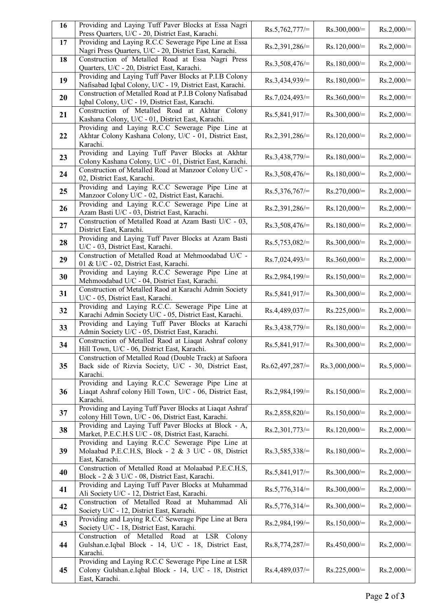| 16 | Providing and Laying Tuff Paver Blocks at Essa Nagri<br>Press Quarters, U/C - 20, District East, Karachi.                       | $Rs.5,762,777/=$  | $Rs.300,000/=$   | $Rs.2,000/=$ |
|----|---------------------------------------------------------------------------------------------------------------------------------|-------------------|------------------|--------------|
| 17 | Providing and Laying R.C.C Sewerage Pipe Line at Essa<br>Nagri Press Quarters, U/C - 20, District East, Karachi.                | $Rs.2,391,286/=$  | $Rs.120,000/=$   | $Rs.2,000/=$ |
| 18 | Construction of Metalled Road at Essa Nagri Press<br>Quarters, U/C - 20, District East, Karachi.                                | $Rs.3,508,476/=$  | $Rs.180,000/=$   | $Rs.2,000/=$ |
| 19 | Providing and Laying Tuff Paver Blocks at P.I.B Colony<br>Nafisabad Iqbal Colony, U/C - 19, District East, Karachi.             | $Rs.3,434,939/=$  | $Rs.180,000/=$   | $Rs.2,000/=$ |
| 20 | Construction of Metalled Road at P.I.B Colony Nafisabad<br>Iqbal Colony, U/C - 19, District East, Karachi.                      | $Rs.7,024,493/=$  | $Rs.360,000/=$   | $Rs.2,000/=$ |
| 21 | Construction of Metalled Road at Akhtar Colony<br>Kashana Colony, U/C - 01, District East, Karachi.                             | $Rs.5,841,917/=$  | $Rs.300,000/=$   | $Rs.2,000/=$ |
| 22 | Providing and Laying R.C.C Sewerage Pipe Line at<br>Akhtar Colony Kashana Colony, U/C - 01, District East,<br>Karachi.          | $Rs.2,391,286/=$  | $Rs.120,000/=$   | $Rs.2,000/=$ |
| 23 | Providing and Laying Tuff Paver Blocks at Akhtar<br>Colony Kashana Colony, U/C - 01, District East, Karachi.                    | $Rs.3,438,779/=$  | $Rs.180,000/=$   | $Rs.2,000/=$ |
| 24 | Construction of Metalled Road at Manzoor Colony U/C -<br>02, District East, Karachi.                                            | $Rs.3,508,476/=$  | $Rs.180,000/=$   | $Rs.2,000/=$ |
| 25 | Providing and Laying R.C.C Sewerage Pipe Line at<br>Manzoor Colony U/C - 02, District East, Karachi.                            | $Rs.5,376,767/=$  | $Rs.270,000/=$   | $Rs.2,000/=$ |
| 26 | Providing and Laying R.C.C Sewerage Pipe Line at<br>Azam Basti U/C - 03, District East, Karachi.                                | $Rs.2,391,286/=$  | $Rs.120,000/=$   | $Rs.2,000/=$ |
| 27 | Construction of Metalled Road at Azam Basti U/C - 03,<br>District East, Karachi.                                                | Rs.3,508,476/=    | $Rs.180,000/=$   | $Rs.2,000/=$ |
| 28 | Providing and Laying Tuff Paver Blocks at Azam Basti<br>U/C - 03, District East, Karachi.                                       | $Rs.5,753,082/=$  | $Rs.300,000/=$   | $Rs.2,000/=$ |
| 29 | Construction of Metalled Road at Mehmoodabad U/C -<br>01 & U/C - 02, District East, Karachi.                                    | $Rs.7,024,493/=$  | $Rs.360,000/=$   | $Rs.2,000/=$ |
| 30 | Providing and Laying R.C.C Sewerage Pipe Line at<br>Mehmoodabad U/C - 04, District East, Karachi.                               | $Rs.2,984,199/=$  | $Rs.150,000/=$   | $Rs.2,000/=$ |
| 31 | Construction of Metalled Raod at Karachi Admin Society<br>U/C - 05, District East, Karachi.                                     | $Rs.5,841,917/=$  | $Rs.300,000/=$   | $Rs.2,000/=$ |
| 32 | Providing and Laying R.C.C. Sewerage Pipe Line at<br>Karachi Admin Society U/C - 05, District East, Karachi.                    | $Rs.4,489,037/=$  | $Rs.225,000/=$   | $Rs.2,000/=$ |
| 33 | Providing and Laying Tuff Paver Blocks at Karachi<br>Admin Society U/C - 05, District East, Karachi.                            | $Rs.3,438,779/=$  | $Rs.180,000/=$   | $Rs.2,000/=$ |
| 34 | Construction of Metalled Raod at Liaqat Ashraf colony<br>Hill Town, U/C - 06, District East, Karachi.                           | Rs.5,841,917/=    | $Rs.300,000/=$   | $Rs.2,000 =$ |
| 35 | Construction of Metalled Road (Double Track) at Safoora<br>Back side of Rizvia Society, U/C - 30, District East,<br>Karachi.    | $Rs.62,497,287/=$ | $Rs.3,000,000/=$ | $Rs.5,000/=$ |
| 36 | Providing and Laying R.C.C Sewerage Pipe Line at<br>Liaqat Ashraf colony Hill Town, U/C - 06, District East,<br>Karachi.        | $Rs.2,984,199/=$  | $Rs.150,000/=$   | $Rs.2,000/=$ |
| 37 | Providing and Laying Tuff Paver Blocks at Liaqat Ashraf<br>colony Hill Town, U/C - 06, District East, Karachi.                  | $Rs.2,858,820/=$  | $Rs.150,000/=$   | $Rs.2,000/=$ |
| 38 | Providing and Laying Tuff Paver Blocks at Block - A,<br>Market, P.E.C.H.S U/C - 08, District East, Karachi.                     | $Rs.2,301,773/=$  | $Rs.120,000/=$   | $Rs.2,000/=$ |
| 39 | Providing and Laying R.C.C Sewerage Pipe Line at<br>Molaabad P.E.C.H.S, Block - 2 & 3 U/C - 08, District<br>East, Karachi.      | $Rs.3,585,338/=$  | $Rs.180,000/=$   | $Rs.2,000/=$ |
| 40 | Construction of Metalled Road at Molaabad P.E.C.H.S,<br>Block - 2 & 3 U/C - 08, District East, Karachi.                         | $Rs.5,841,917/=$  | $Rs.300,000/=$   | $Rs.2,000/=$ |
| 41 | Providing and Laying Tuff Paver Blocks at Muhammad<br>Ali Society U/C - 12, District East, Karachi.                             | $Rs.5,776,314/=$  | $Rs.300,000/=$   | $Rs.2,000/=$ |
| 42 | Construction of Metalled Road at Muhammad Ali<br>Society U/C - 12, District East, Karachi.                                      | $Rs.5,776,314/=$  | $Rs.300,000/=$   | $Rs.2,000/=$ |
| 43 | Providing and Laying R.C.C Sewerage Pipe Line at Bera<br>Society U/C - 18, District East, Karachi.                              | $Rs.2,984,199/=$  | $Rs.150,000/=$   | $Rs.2,000/=$ |
| 44 | Construction of Metalled Road at LSR Colony<br>Gulshan.e.Iqbal Block - 14, U/C - 18, District East,<br>Karachi.                 | $Rs.8,774,287/=$  | $Rs.450,000/=$   | $Rs.2,000/=$ |
| 45 | Providing and Laying R.C.C Sewerage Pipe Line at LSR<br>Colony Gulshan.e.Iqbal Block - 14, U/C - 18, District<br>East, Karachi. | $Rs.4,489,037/=$  | $Rs.225,000/=$   | $Rs.2,000/=$ |